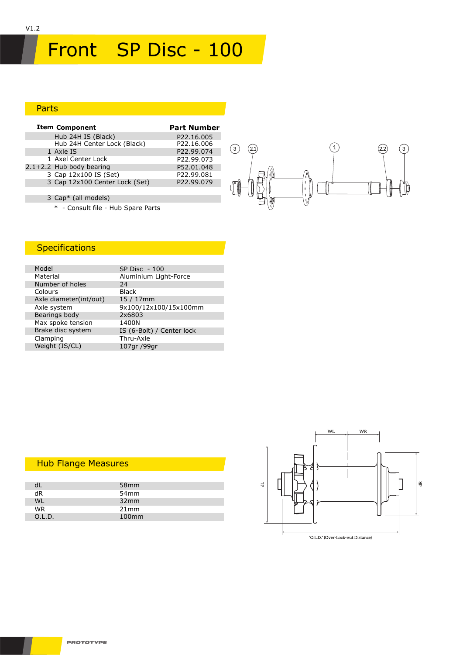# Front SP Disc - 100

### Parts

| <b>Item Component</b>          | <b>Part Number</b>     |
|--------------------------------|------------------------|
| Hub 24H IS (Black)             | P <sub>22.16.005</sub> |
| Hub 24H Center Lock (Black)    | P22.16.006             |
| 1 Axle IS                      | P22.99.074             |
| 1 Axel Center Lock             | P22.99.073             |
| $2.1+2.2$ Hub body bearing     | P52.01.048             |
| 3 Cap 12x100 IS (Set)          | P22.99.081             |
| 3 Cap 12x100 Center Lock (Set) | P22.99.079             |
|                                |                        |
|                                |                        |



# 3 Cap\* (all models)

\* - Consult file - Hub Spare Parts

# **Specifications**

| Model                  | <b>SP Disc - 100</b>      |
|------------------------|---------------------------|
| Material               | Aluminium Light-Force     |
| Number of holes        | 24                        |
| Colours                | <b>Black</b>              |
| Axle diameter(int/out) | $15/17$ mm                |
| Axle system            | 9x100/12x100/15x100mm     |
| Bearings body          | 2x6803                    |
| Max spoke tension      | 1400N                     |
| Brake disc system      | IS (6-Bolt) / Center lock |
| Clamping               | Thru-Axle                 |
| Weight (IS/CL)         | 107gr /99gr               |
|                        |                           |

### Hub Flange Measures

|        | 58 <sub>mm</sub>  |  |
|--------|-------------------|--|
| dR     | 54 <sub>mm</sub>  |  |
| W١     | 32mm              |  |
| WR.    | 21mm              |  |
| O.L.D. | 100 <sub>mm</sub> |  |
|        |                   |  |